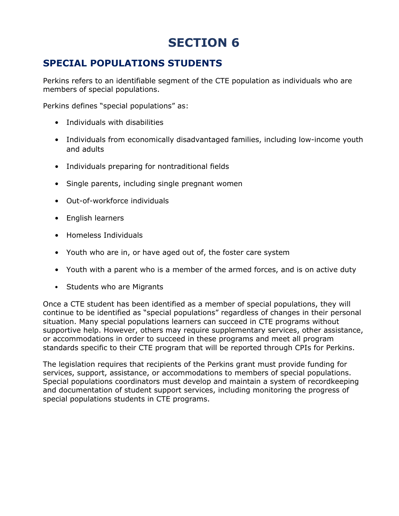# **SECTION 6**

# **SPECIAL POPULATIONS STUDENTS**

Perkins refers to an identifiable segment of the CTE population as individuals who are members of special populations.

Perkins defines "special populations" as:

- Individuals with disabilities
- Individuals from economically disadvantaged families, including low-income youth and adults
- Individuals preparing for nontraditional fields
- Single parents, including single pregnant women
- Out-of-workforce individuals
- English learners
- Homeless Individuals
- Youth who are in, or have aged out of, the foster care system
- Youth with a parent who is a member of the armed forces, and is on active duty
- Students who are Migrants

Once a CTE student has been identified as a member of special populations, they will continue to be identified as "special populations" regardless of changes in their personal situation. Many special populations learners can succeed in CTE programs without supportive help. However, others may require supplementary services, other assistance, or accommodations in order to succeed in these programs and meet all program standards specific to their CTE program that will be reported through CPIs for Perkins.

The legislation requires that recipients of the Perkins grant must provide funding for services, support, assistance, or accommodations to members of special populations. Special populations coordinators must develop and maintain a system of recordkeeping and documentation of student support services, including monitoring the progress of special populations students in CTE programs.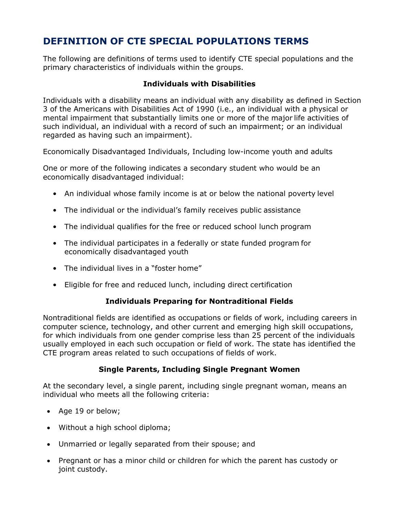# **DEFINITION OF CTE SPECIAL POPULATIONS TERMS**

The following are definitions of terms used to identify CTE special populations and the primary characteristics of individuals within the groups.

### **Individuals with Disabilities**

Individuals with a disability means an individual with any disability as defined in Section 3 of the Americans with Disabilities Act of 1990 (i.e., an individual with a physical or mental impairment that substantially limits one or more of the major life activities of such individual, an individual with a record of such an impairment; or an individual regarded as having such an impairment).

Economically Disadvantaged Individuals, Including low-income youth and adults

One or more of the following indicates a secondary student who would be an economically disadvantaged individual:

- An individual whose family income is at or below the national poverty level
- The individual or the individual's family receives public assistance
- The individual qualifies for the free or reduced school lunch program
- The individual participates in a federally or state funded program for economically disadvantaged youth
- The individual lives in a "foster home"
- Eligible for free and reduced lunch, including direct certification

# **Individuals Preparing for Nontraditional Fields**

Nontraditional fields are identified as occupations or fields of work, including careers in computer science, technology, and other current and emerging high skill occupations, for which individuals from one gender comprise less than 25 percent of the individuals usually employed in each such occupation or field of work. The state has identified the CTE program areas related to such occupations of fields of work.

# **Single Parents, Including Single Pregnant Women**

At the secondary level, a single parent, including single pregnant woman, means an individual who meets all the following criteria:

- Age 19 or below;
- Without a high school diploma;
- Unmarried or legally separated from their spouse; and
- Pregnant or has a minor child or children for which the parent has custody or joint custody.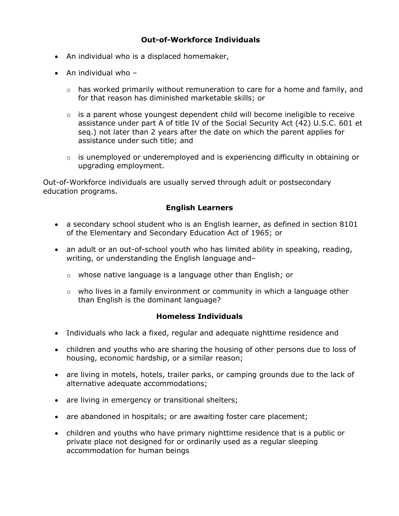# **Out-of-Workforce Individuals**

- An individual who is a displaced homemaker,
- $\bullet$  An individual who  $-$ 
	- $\circ$  has worked primarily without remuneration to care for a home and family, and for that reason has diminished marketable skills; or
	- o is a parent whose youngest dependent child will become ineligible to receive assistance under part A of title IV of the Social Security Act (42) U.S.C. 601 et seq.) not later than 2 years after the date on which the parent applies for assistance under such title; and
	- o is unemployed or underemployed and is experiencing difficulty in obtaining or upgrading employment.

Out-of-Workforce individuals are usually served through adult or postsecondary education programs.

#### **English Learners**

- a secondary school student who is an English learner, as defined in section 8101 of the Elementary and Secondary Education Act of 1965; or
- an adult or an out-of-school youth who has limited ability in speaking, reading, writing, or understanding the English language and–
	- o whose native language is a language other than English; or
	- $\circ$  who lives in a family environment or community in which a language other than English is the dominant language?

#### **Homeless Individuals**

- Individuals who lack a fixed, regular and adequate nighttime residence and
- children and youths who are sharing the housing of other persons due to loss of housing, economic hardship, or a similar reason;
- are living in motels, hotels, trailer parks, or camping grounds due to the lack of alternative adequate accommodations;
- are living in emergency or transitional shelters;
- are abandoned in hospitals; or are awaiting foster care placement;
- children and youths who have primary nighttime residence that is a public or private place not designed for or ordinarily used as a regular sleeping accommodation for human beings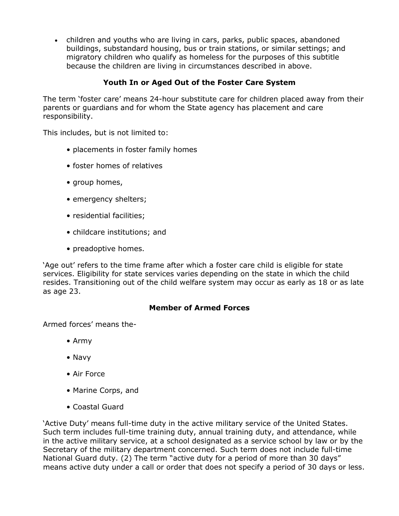• children and youths who are living in cars, parks, public spaces, abandoned buildings, substandard housing, bus or train stations, or similar settings; and migratory children who qualify as homeless for the purposes of this subtitle because the children are living in circumstances described in above.

# **Youth In or Aged Out of the Foster Care System**

The term 'foster care' means 24-hour substitute care for children placed away from their parents or guardians and for whom the State agency has placement and care responsibility.

This includes, but is not limited to:

- placements in foster family homes
- foster homes of relatives
- group homes,
- emergency shelters;
- residential facilities;
- childcare institutions; and
- preadoptive homes.

'Age out' refers to the time frame after which a foster care child is eligible for state services. Eligibility for state services varies depending on the state in which the child resides. Transitioning out of the child welfare system may occur as early as 18 or as late as age 23.

#### **Member of Armed Forces**

Armed forces' means the-

- Army
- Navy
- Air Force
- Marine Corps, and
- Coastal Guard

'Active Duty' means full-time duty in the active military service of the United States. Such term includes full-time training duty, annual training duty, and attendance, while in the active military service, at a school designated as a service school by law or by the Secretary of the military department concerned. Such term does not include full-time National Guard duty. (2) The term "active duty for a period of more than 30 days" means active duty under a call or order that does not specify a period of 30 days or less.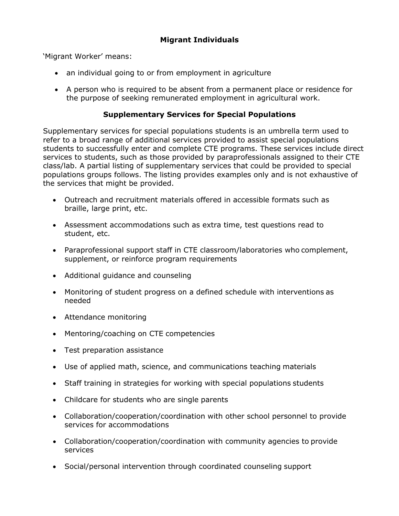'Migrant Worker' means:

- an individual going to or from employment in agriculture
- A person who is required to be absent from a permanent place or residence for the purpose of seeking remunerated employment in agricultural work.

# **Supplementary Services for Special Populations**

Supplementary services for special populations students is an umbrella term used to refer to a broad range of additional services provided to assist special populations students to successfully enter and complete CTE programs. These services include direct services to students, such as those provided by paraprofessionals assigned to their CTE class/lab. A partial listing of supplementary services that could be provided to special populations groups follows. The listing provides examples only and is not exhaustive of the services that might be provided.

- Outreach and recruitment materials offered in accessible formats such as braille, large print, etc.
- Assessment accommodations such as extra time, test questions read to student, etc.
- Paraprofessional support staff in CTE classroom/laboratories who complement, supplement, or reinforce program requirements
- Additional guidance and counseling
- Monitoring of student progress on a defined schedule with interventions as needed
- Attendance monitoring
- Mentoring/coaching on CTE competencies
- Test preparation assistance
- Use of applied math, science, and communications teaching materials
- Staff training in strategies for working with special populations students
- Childcare for students who are single parents
- Collaboration/cooperation/coordination with other school personnel to provide services for accommodations
- Collaboration/cooperation/coordination with community agencies to provide services
- Social/personal intervention through coordinated counseling support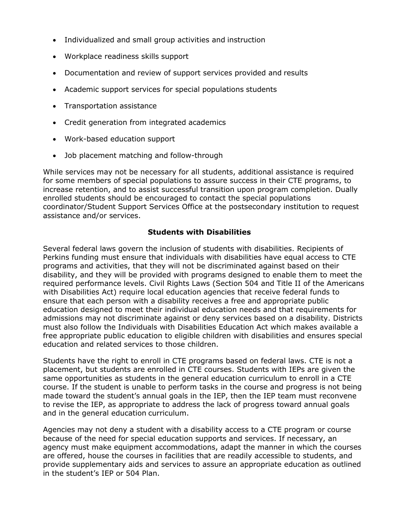- Individualized and small group activities and instruction
- Workplace readiness skills support
- Documentation and review of support services provided and results
- Academic support services for special populations students
- Transportation assistance
- Credit generation from integrated academics
- Work-based education support
- Job placement matching and follow-through

While services may not be necessary for all students, additional assistance is required for some members of special populations to assure success in their CTE programs, to increase retention, and to assist successful transition upon program completion. Dually enrolled students should be encouraged to contact the special populations coordinator/Student Support Services Office at the postsecondary institution to request assistance and/or services.

# **Students with Disabilities**

Several federal laws govern the inclusion of students with disabilities. Recipients of Perkins funding must ensure that individuals with disabilities have equal access to CTE programs and activities, that they will not be discriminated against based on their disability, and they will be provided with programs designed to enable them to meet the required performance levels. Civil Rights Laws (Section 504 and Title II of the Americans with Disabilities Act) require local education agencies that receive federal funds to ensure that each person with a disability receives a free and appropriate public education designed to meet their individual education needs and that requirements for admissions may not discriminate against or deny services based on a disability. Districts must also follow the Individuals with Disabilities Education Act which makes available a free appropriate public education to eligible children with disabilities and ensures special education and related services to those children.

Students have the right to enroll in CTE programs based on federal laws. CTE is not a placement, but students are enrolled in CTE courses. Students with IEPs are given the same opportunities as students in the general education curriculum to enroll in a CTE course. If the student is unable to perform tasks in the course and progress is not being made toward the student's annual goals in the IEP, then the IEP team must reconvene to revise the IEP, as appropriate to address the lack of progress toward annual goals and in the general education curriculum.

Agencies may not deny a student with a disability access to a CTE program or course because of the need for special education supports and services. If necessary, an agency must make equipment accommodations, adapt the manner in which the courses are offered, house the courses in facilities that are readily accessible to students, and provide supplementary aids and services to assure an appropriate education as outlined in the student's IEP or 504 Plan.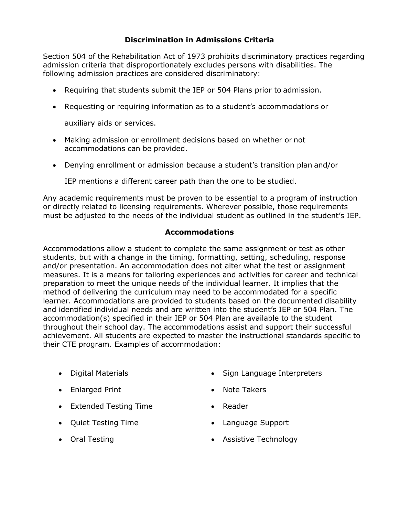# **Discrimination in Admissions Criteria**

Section 504 of the Rehabilitation Act of 1973 prohibits discriminatory practices regarding admission criteria that disproportionately excludes persons with disabilities. The following admission practices are considered discriminatory:

- Requiring that students submit the IEP or 504 Plans prior to admission.
- Requesting or requiring information as to a student's accommodations or

auxiliary aids or services.

- Making admission or enrollment decisions based on whether or not accommodations can be provided.
- Denying enrollment or admission because a student's transition plan and/or

IEP mentions a different career path than the one to be studied.

Any academic requirements must be proven to be essential to a program of instruction or directly related to licensing requirements. Wherever possible, those requirements must be adjusted to the needs of the individual student as outlined in the student's IEP.

#### **Accommodations**

Accommodations allow a student to complete the same assignment or test as other students, but with a change in the timing, formatting, setting, scheduling, response and/or presentation. An accommodation does not alter what the test or assignment measures. It is a means for tailoring experiences and activities for career and technical preparation to meet the unique needs of the individual learner. It implies that the method of delivering the curriculum may need to be accommodated for a specific learner. Accommodations are provided to students based on the documented disability and identified individual needs and are written into the student's IEP or 504 Plan. The accommodation(s) specified in their IEP or 504 Plan are available to the student throughout their school day. The accommodations assist and support their successful achievement. All students are expected to master the instructional standards specific to their CTE program. Examples of accommodation:

- Digital Materials
- Enlarged Print
- Extended Testing Time
- Quiet Testing Time
- Oral Testing
- Sign Language Interpreters
- Note Takers
- Reader
- Language Support
- Assistive Technology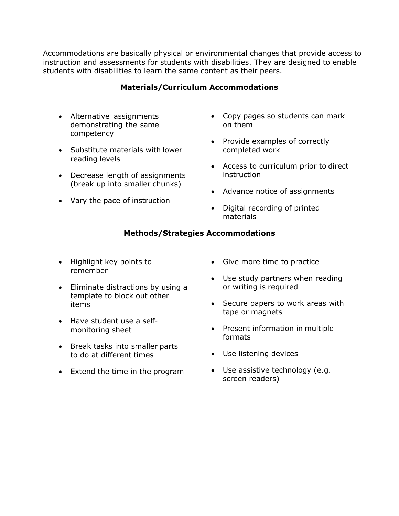Accommodations are basically physical or environmental changes that provide access to instruction and assessments for students with disabilities. They are designed to enable students with disabilities to learn the same content as their peers.

#### **Materials/Curriculum Accommodations**

- Alternative assignments demonstrating the same competency
- Substitute materials with lower reading levels
- Decrease length of assignments (break up into smaller chunks)
- Vary the pace of instruction
- Copy pages so students can mark on them
- Provide examples of correctly completed work
- Access to curriculum prior to direct instruction
- Advance notice of assignments
- Digital recording of printed materials

#### **Methods/Strategies Accommodations**

- Highlight key points to remember
- Eliminate distractions by using a template to block out other items
- Have student use a selfmonitoring sheet
- Break tasks into smaller parts to do at different times
- Extend the time in the program
- Give more time to practice
- Use study partners when reading or writing is required
- Secure papers to work areas with tape or magnets
- Present information in multiple formats
- Use listening devices
- Use assistive technology (e.g. screen readers)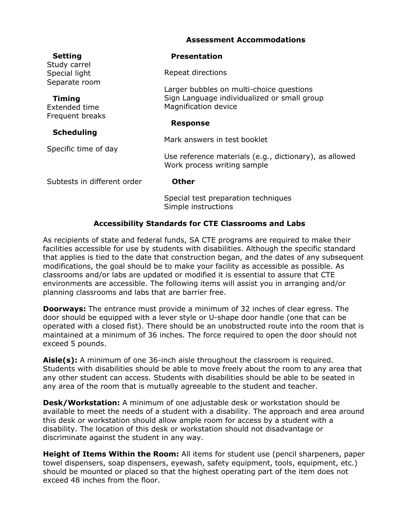|                                                 | <b>Assessment Accommodations</b>                                                                                |
|-------------------------------------------------|-----------------------------------------------------------------------------------------------------------------|
| <b>Setting</b>                                  | <b>Presentation</b>                                                                                             |
| Study carrel<br>Special light                   | Repeat directions                                                                                               |
| Separate room<br><b>Timing</b><br>Extended time | Larger bubbles on multi-choice questions<br>Sign Language individualized or small group<br>Magnification device |
| Frequent breaks                                 | <b>Response</b>                                                                                                 |
| <b>Scheduling</b>                               | Mark answers in test booklet                                                                                    |
| Specific time of day                            | Use reference materials (e.g., dictionary), as allowed<br>Work process writing sample                           |
| Subtests in different order                     | <b>Other</b>                                                                                                    |
|                                                 | Special test preparation techniques                                                                             |

# **Accessibility Standards for CTE Classrooms and Labs**

Simple instructions

As recipients of state and federal funds, SA CTE programs are required to make their facilities accessible for use by students with disabilities. Although the specific standard that applies is tied to the date that construction began, and the dates of any subsequent modifications, the goal should be to make your facility as accessible as possible. As classrooms and/or labs are updated or modified it is essential to assure that CTE environments are accessible. The following items will assist you in arranging and/or planning classrooms and labs that are barrier free.

**Doorways:** The entrance must provide a minimum of 32 inches of clear egress. The door should be equipped with a lever style or U-shape door handle (one that can be operated with a closed fist). There should be an unobstructed route into the room that is maintained at a minimum of 36 inches. The force required to open the door should not exceed 5 pounds.

**Aisle(s):** A minimum of one 36-inch aisle throughout the classroom is required. Students with disabilities should be able to move freely about the room to any area that any other student can access. Students with disabilities should be able to be seated in any area of the room that is mutually agreeable to the student and teacher.

**Desk/Workstation:** A minimum of one adjustable desk or workstation should be available to meet the needs of a student with a disability. The approach and area around this desk or workstation should allow ample room for access by a student with a disability. The location of this desk or workstation should not disadvantage or discriminate against the student in any way.

**Height of Items Within the Room:** All items for student use (pencil sharpeners, paper towel dispensers, soap dispensers, eyewash, safety equipment, tools, equipment, etc.) should be mounted or placed so that the highest operating part of the item does not exceed 48 inches from the floor.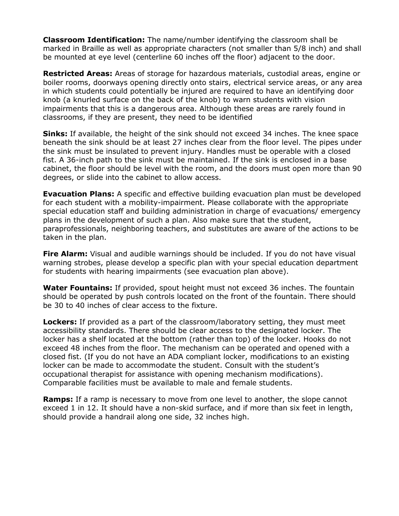**Classroom Identification:** The name/number identifying the classroom shall be marked in Braille as well as appropriate characters (not smaller than 5/8 inch) and shall be mounted at eye level (centerline 60 inches off the floor) adjacent to the door.

**Restricted Areas:** Areas of storage for hazardous materials, custodial areas, engine or boiler rooms, doorways opening directly onto stairs, electrical service areas, or any area in which students could potentially be injured are required to have an identifying door knob (a knurled surface on the back of the knob) to warn students with vision impairments that this is a dangerous area. Although these areas are rarely found in classrooms, if they are present, they need to be identified

**Sinks:** If available, the height of the sink should not exceed 34 inches. The knee space beneath the sink should be at least 27 inches clear from the floor level. The pipes under the sink must be insulated to prevent injury. Handles must be operable with a closed fist. A 36-inch path to the sink must be maintained. If the sink is enclosed in a base cabinet, the floor should be level with the room, and the doors must open more than 90 degrees, or slide into the cabinet to allow access.

**Evacuation Plans:** A specific and effective building evacuation plan must be developed for each student with a mobility-impairment. Please collaborate with the appropriate special education staff and building administration in charge of evacuations/ emergency plans in the development of such a plan. Also make sure that the student, paraprofessionals, neighboring teachers, and substitutes are aware of the actions to be taken in the plan.

**Fire Alarm:** Visual and audible warnings should be included. If you do not have visual warning strobes, please develop a specific plan with your special education department for students with hearing impairments (see evacuation plan above).

**Water Fountains:** If provided, spout height must not exceed 36 inches. The fountain should be operated by push controls located on the front of the fountain. There should be 30 to 40 inches of clear access to the fixture.

**Lockers:** If provided as a part of the classroom/laboratory setting, they must meet accessibility standards. There should be clear access to the designated locker. The locker has a shelf located at the bottom (rather than top) of the locker. Hooks do not exceed 48 inches from the floor. The mechanism can be operated and opened with a closed fist. (If you do not have an ADA compliant locker, modifications to an existing locker can be made to accommodate the student. Consult with the student's occupational therapist for assistance with opening mechanism modifications). Comparable facilities must be available to male and female students.

**Ramps:** If a ramp is necessary to move from one level to another, the slope cannot exceed 1 in 12. It should have a non-skid surface, and if more than six feet in length, should provide a handrail along one side, 32 inches high.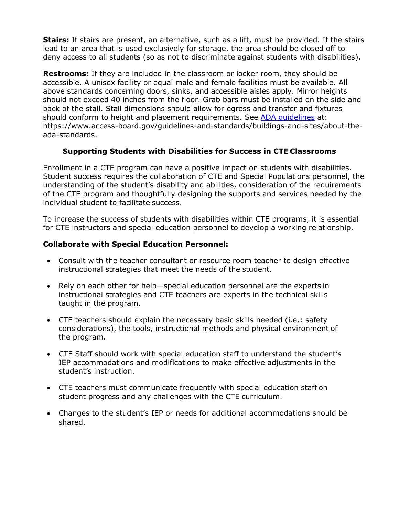**Stairs:** If stairs are present, an alternative, such as a lift, must be provided. If the stairs lead to an area that is used exclusively for storage, the area should be closed off to deny access to all students (so as not to discriminate against students with disabilities).

**Restrooms:** If they are included in the classroom or locker room, they should be accessible. A unisex facility or equal male and female facilities must be available. All above standards concerning doors, sinks, and accessible aisles apply. Mirror heights should not exceed 40 inches from the floor. Grab bars must be installed on the side and back of the stall. Stall dimensions should allow for egress and transfer and fixtures should conform to height and placement requirements. See ADA quidelines at: https://www.access-board.gov/guidelines-and-standards/buildings-and-sites/about-theada-standards.

#### **Supporting Students with Disabilities for Success in CTE Classrooms**

Enrollment in a CTE program can have a positive impact on students with disabilities. Student success requires the collaboration of CTE and Special Populations personnel, the understanding of the student's disability and abilities, consideration of the requirements of the CTE program and thoughtfully designing the supports and services needed by the individual student to facilitate success.

To increase the success of students with disabilities within CTE programs, it is essential for CTE instructors and special education personnel to develop a working relationship.

# **Collaborate with Special Education Personnel:**

- Consult with the teacher consultant or resource room teacher to design effective instructional strategies that meet the needs of the student.
- Rely on each other for help—special education personnel are the experts in instructional strategies and CTE teachers are experts in the technical skills taught in the program.
- CTE teachers should explain the necessary basic skills needed (i.e.: safety considerations), the tools, instructional methods and physical environment of the program.
- CTE Staff should work with special education staff to understand the student's IEP accommodations and modifications to make effective adjustments in the student's instruction.
- CTE teachers must communicate frequently with special education staff on student progress and any challenges with the CTE curriculum.
- Changes to the student's IEP or needs for additional accommodations should be shared.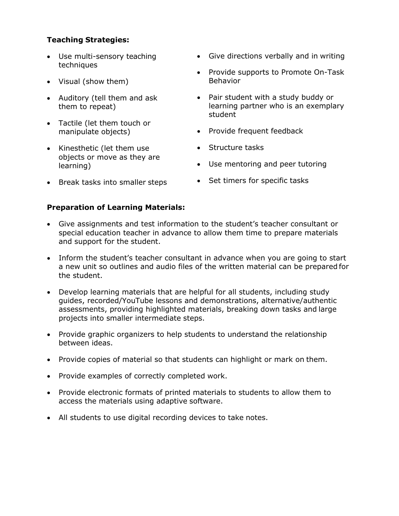# **Teaching Strategies:**

- Use multi-sensory teaching techniques
- Visual (show them)
- Auditory (tell them and ask them to repeat)
- Tactile (let them touch or manipulate objects)
- Kinesthetic (let them use objects or move as they are learning)
- Break tasks into smaller steps
- **Preparation of Learning Materials:**
- Give directions verbally and in writing
- Provide supports to Promote On-Task Behavior
- Pair student with a study buddy or learning partner who is an exemplary student
- Provide frequent feedback
- Structure tasks
- Use mentoring and peer tutoring
- Set timers for specific tasks
- Give assignments and test information to the student's teacher consultant or special education teacher in advance to allow them time to prepare materials and support for the student.
- Inform the student's teacher consultant in advance when you are going to start a new unit so outlines and audio files of the written material can be prepared for the student.
- Develop learning materials that are helpful for all students, including study guides, recorded/YouTube lessons and demonstrations, alternative/authentic assessments, providing highlighted materials, breaking down tasks and large projects into smaller intermediate steps.
- Provide graphic organizers to help students to understand the relationship between ideas.
- Provide copies of material so that students can highlight or mark on them.
- Provide examples of correctly completed work.
- Provide electronic formats of printed materials to students to allow them to access the materials using adaptive software.
- All students to use digital recording devices to take notes.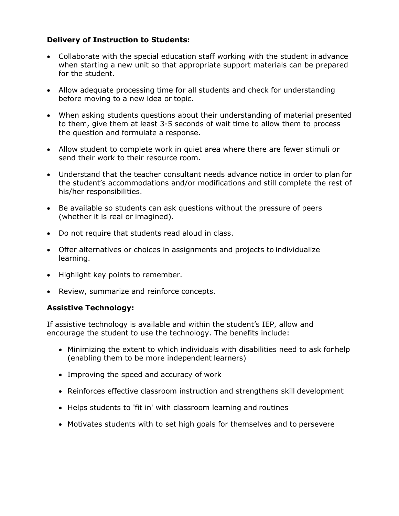## **Delivery of Instruction to Students:**

- Collaborate with the special education staff working with the student in advance when starting a new unit so that appropriate support materials can be prepared for the student.
- Allow adequate processing time for all students and check for understanding before moving to a new idea or topic.
- When asking students questions about their understanding of material presented to them, give them at least 3-5 seconds of wait time to allow them to process the question and formulate a response.
- Allow student to complete work in quiet area where there are fewer stimuli or send their work to their resource room.
- Understand that the teacher consultant needs advance notice in order to plan for the student's accommodations and/or modifications and still complete the rest of his/her responsibilities.
- Be available so students can ask questions without the pressure of peers (whether it is real or imagined).
- Do not require that students read aloud in class.
- Offer alternatives or choices in assignments and projects to individualize learning.
- Highlight key points to remember.
- Review, summarize and reinforce concepts.

#### **Assistive Technology:**

If assistive technology is available and within the student's IEP, allow and encourage the student to use the technology. The benefits include:

- Minimizing the extent to which individuals with disabilities need to ask forhelp (enabling them to be more independent learners)
- Improving the speed and accuracy of work
- Reinforces effective classroom instruction and strengthens skill development
- Helps students to 'fit in' with classroom learning and routines
- Motivates students with to set high goals for themselves and to persevere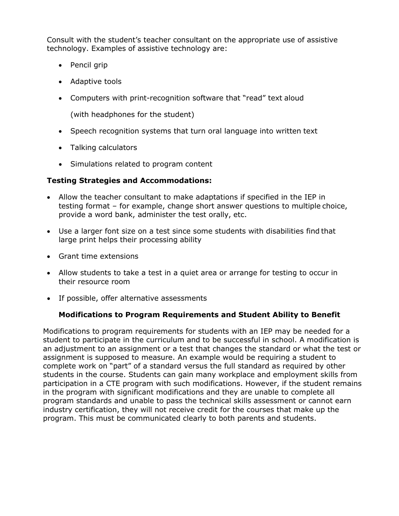Consult with the student's teacher consultant on the appropriate use of assistive technology. Examples of assistive technology are:

- Pencil grip
- Adaptive tools
- Computers with print-recognition software that "read" text aloud

(with headphones for the student)

- Speech recognition systems that turn oral language into written text
- Talking calculators
- Simulations related to program content

# **Testing Strategies and Accommodations:**

- Allow the teacher consultant to make adaptations if specified in the IEP in testing format – for example, change short answer questions to multiple choice, provide a word bank, administer the test orally, etc.
- Use a larger font size on a test since some students with disabilities find that large print helps their processing ability
- Grant time extensions
- Allow students to take a test in a quiet area or arrange for testing to occur in their resource room
- If possible, offer alternative assessments

#### **Modifications to Program Requirements and Student Ability to Benefit**

Modifications to program requirements for students with an IEP may be needed for a student to participate in the curriculum and to be successful in school. A modification is an adjustment to an assignment or a test that changes the standard or what the test or assignment is supposed to measure. An example would be requiring a student to complete work on "part" of a standard versus the full standard as required by other students in the course. Students can gain many workplace and employment skills from participation in a CTE program with such modifications. However, if the student remains in the program with significant modifications and they are unable to complete all program standards and unable to pass the technical skills assessment or cannot earn industry certification, they will not receive credit for the courses that make up the program. This must be communicated clearly to both parents and students.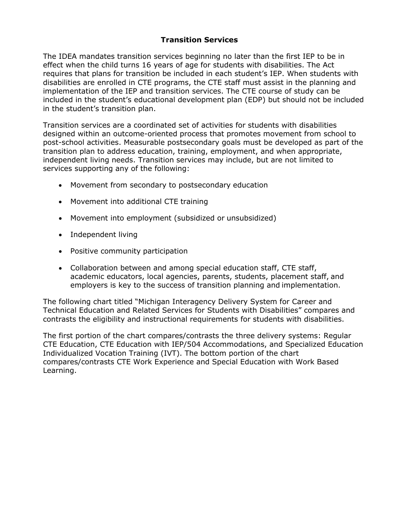# **Transition Services**

The IDEA mandates transition services beginning no later than the first IEP to be in effect when the child turns 16 years of age for students with disabilities. The Act requires that plans for transition be included in each student's IEP. When students with disabilities are enrolled in CTE programs, the CTE staff must assist in the planning and implementation of the IEP and transition services. The CTE course of study can be included in the student's educational development plan (EDP) but should not be included in the student's transition plan.

Transition services are a coordinated set of activities for students with disabilities designed within an outcome-oriented process that promotes movement from school to post-school activities. Measurable postsecondary goals must be developed as part of the transition plan to address education, training, employment, and when appropriate, independent living needs. Transition services may include, but are not limited to services supporting any of the following:

- Movement from secondary to postsecondary education
- Movement into additional CTE training
- Movement into employment (subsidized or unsubsidized)
- Independent living
- Positive community participation
- Collaboration between and among special education staff, CTE staff, academic educators, local agencies, parents, students, placement staff, and employers is key to the success of transition planning and implementation.

The following chart titled "Michigan Interagency Delivery System for Career and Technical Education and Related Services for Students with Disabilities" compares and contrasts the eligibility and instructional requirements for students with disabilities.

The first portion of the chart compares/contrasts the three delivery systems: Regular CTE Education, CTE Education with IEP/504 Accommodations, and Specialized Education Individualized Vocation Training (IVT). The bottom portion of the chart compares/contrasts CTE Work Experience and Special Education with Work Based Learning.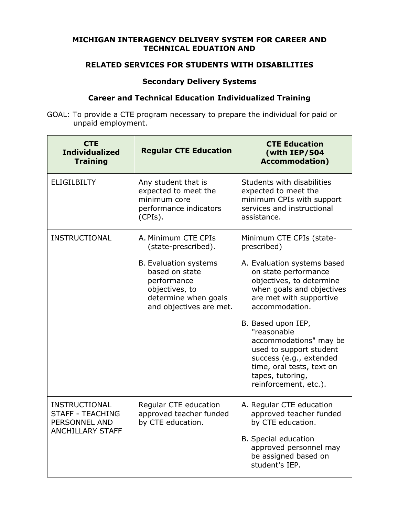#### **MICHIGAN INTERAGENCY DELIVERY SYSTEM FOR CAREER AND TECHNICAL EDUATION AND**

#### **RELATED SERVICES FOR STUDENTS WITH DISABILITIES**

#### **Secondary Delivery Systems**

# **Career and Technical Education Individualized Training**

GOAL: To provide a CTE program necessary to prepare the individual for paid or unpaid employment.

| <b>CTE</b><br><b>Individualized</b><br><b>Training</b>                                             | <b>Regular CTE Education</b>                                                                                                       | <b>CTE Education</b><br>(with IEP/504<br><b>Accommodation</b> )                                                                                                                                                                                                                                                                                          |
|----------------------------------------------------------------------------------------------------|------------------------------------------------------------------------------------------------------------------------------------|----------------------------------------------------------------------------------------------------------------------------------------------------------------------------------------------------------------------------------------------------------------------------------------------------------------------------------------------------------|
| <b>ELIGILBILTY</b>                                                                                 | Any student that is<br>expected to meet the<br>minimum core<br>performance indicators<br>(CPIs).                                   | Students with disabilities<br>expected to meet the<br>minimum CPIs with support<br>services and instructional<br>assistance.                                                                                                                                                                                                                             |
| <b>INSTRUCTIONAL</b>                                                                               | A. Minimum CTE CPIs<br>(state-prescribed).                                                                                         | Minimum CTE CPIs (state-<br>prescribed)                                                                                                                                                                                                                                                                                                                  |
|                                                                                                    | <b>B.</b> Evaluation systems<br>based on state<br>performance<br>objectives, to<br>determine when goals<br>and objectives are met. | A. Evaluation systems based<br>on state performance<br>objectives, to determine<br>when goals and objectives<br>are met with supportive<br>accommodation.<br>B. Based upon IEP,<br>"reasonable<br>accommodations" may be<br>used to support student<br>success (e.g., extended<br>time, oral tests, text on<br>tapes, tutoring,<br>reinforcement, etc.). |
| <b>INSTRUCTIONAL</b><br><b>STAFF - TEACHING</b><br><b>PERSONNEL AND</b><br><b>ANCHILLARY STAFF</b> | Regular CTE education<br>approved teacher funded<br>by CTE education.                                                              | A. Regular CTE education<br>approved teacher funded<br>by CTE education.<br><b>B.</b> Special education<br>approved personnel may<br>be assigned based on<br>student's IEP.                                                                                                                                                                              |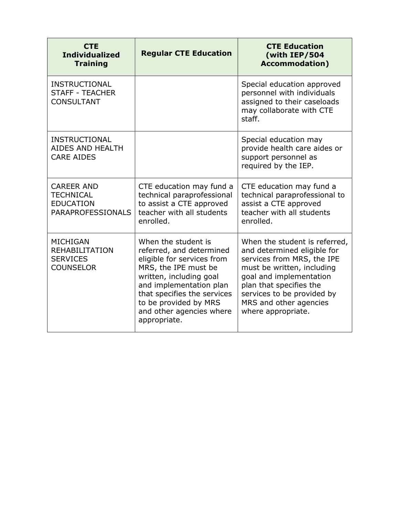| <b>CTE</b><br><b>Individualized</b><br><b>Training</b>                                | <b>Regular CTE Education</b>                                                                                                                                                                                                                                    | <b>CTE Education</b><br>(with IEP/504<br><b>Accommodation</b> )                                                                                                                                                                                              |
|---------------------------------------------------------------------------------------|-----------------------------------------------------------------------------------------------------------------------------------------------------------------------------------------------------------------------------------------------------------------|--------------------------------------------------------------------------------------------------------------------------------------------------------------------------------------------------------------------------------------------------------------|
| <b>INSTRUCTIONAL</b><br><b>STAFF - TEACHER</b><br><b>CONSULTANT</b>                   |                                                                                                                                                                                                                                                                 | Special education approved<br>personnel with individuals<br>assigned to their caseloads<br>may collaborate with CTE<br>staff.                                                                                                                                |
| <b>INSTRUCTIONAL</b><br>AIDES AND HEALTH<br><b>CARE AIDES</b>                         |                                                                                                                                                                                                                                                                 | Special education may<br>provide health care aides or<br>support personnel as<br>required by the IEP.                                                                                                                                                        |
| <b>CAREER AND</b><br><b>TECHNICAL</b><br><b>EDUCATION</b><br><b>PARAPROFESSIONALS</b> | CTE education may fund a<br>technical paraprofessional<br>to assist a CTE approved<br>teacher with all students<br>enrolled.                                                                                                                                    | CTE education may fund a<br>technical paraprofessional to<br>assist a CTE approved<br>teacher with all students<br>enrolled.                                                                                                                                 |
| <b>MICHIGAN</b><br><b>REHABILITATION</b><br><b>SERVICES</b><br><b>COUNSELOR</b>       | When the student is<br>referred, and determined<br>eligible for services from<br>MRS, the IPE must be<br>written, including goal<br>and implementation plan<br>that specifies the services<br>to be provided by MRS<br>and other agencies where<br>appropriate. | When the student is referred,<br>and determined eligible for<br>services from MRS, the IPE<br>must be written, including<br>goal and implementation<br>plan that specifies the<br>services to be provided by<br>MRS and other agencies<br>where appropriate. |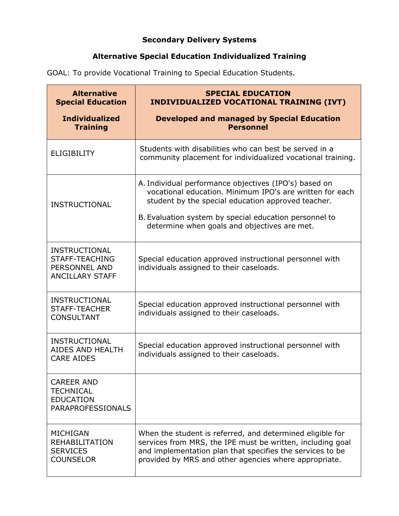# **Secondary Delivery Systems**

# **Alternative Special Education Individualized Training**

GOAL: To provide Vocational Training to Special Education Students.

| <b>Alternative</b><br><b>Special Education</b><br><b>Individualized</b><br><b>Training</b> | <b>SPECIAL EDUCATION</b><br><b>INDIVIDUALIZED VOCATIONAL TRAINING (IVT)</b><br><b>Developed and managed by Special Education</b><br><b>Personnel</b>                                                                                                                              |
|--------------------------------------------------------------------------------------------|-----------------------------------------------------------------------------------------------------------------------------------------------------------------------------------------------------------------------------------------------------------------------------------|
| <b>ELIGIBILITY</b>                                                                         | Students with disabilities who can best be served in a<br>community placement for individualized vocational training.                                                                                                                                                             |
| <b>INSTRUCTIONAL</b>                                                                       | A. Individual performance objectives (IPO's) based on<br>vocational education. Minimum IPO's are written for each<br>student by the special education approved teacher.<br>B. Evaluation system by special education personnel to<br>determine when goals and objectives are met. |
| <b>INSTRUCTIONAL</b><br><b>STAFF-TEACHING</b><br>PERSONNEL AND<br><b>ANCILLARY STAFF</b>   | Special education approved instructional personnel with<br>individuals assigned to their caseloads.                                                                                                                                                                               |
| <b>INSTRUCTIONAL</b><br><b>STAFF-TEACHER</b><br><b>CONSULTANT</b>                          | Special education approved instructional personnel with<br>individuals assigned to their caseloads.                                                                                                                                                                               |
| <b>INSTRUCTIONAL</b><br>AIDES AND HEALTH<br><b>CARE AIDES</b>                              | Special education approved instructional personnel with<br>individuals assigned to their caseloads.                                                                                                                                                                               |
| <b>CAREER AND</b><br><b>TECHNICAL</b><br><b>EDUCATION</b><br><b>PARAPROFESSIONALS</b>      |                                                                                                                                                                                                                                                                                   |
| <b>MICHIGAN</b><br><b>REHABILITATION</b><br><b>SERVICES</b><br><b>COUNSELOR</b>            | When the student is referred, and determined eligible for<br>services from MRS, the IPE must be written, including goal<br>and implementation plan that specifies the services to be<br>provided by MRS and other agencies where appropriate.                                     |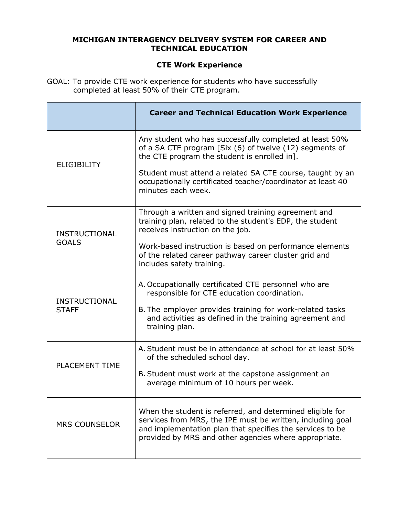#### **MICHIGAN INTERAGENCY DELIVERY SYSTEM FOR CAREER AND TECHNICAL EDUCATION**

#### **CTE Work Experience**

GOAL: To provide CTE work experience for students who have successfully completed at least 50% of their CTE program.

|                                      | <b>Career and Technical Education Work Experience</b>                                                                                                                                                                                         |
|--------------------------------------|-----------------------------------------------------------------------------------------------------------------------------------------------------------------------------------------------------------------------------------------------|
| <b>ELIGIBILITY</b>                   | Any student who has successfully completed at least 50%<br>of a SA CTE program [Six (6) of twelve (12) segments of<br>the CTE program the student is enrolled in].<br>Student must attend a related SA CTE course, taught by an               |
|                                      | occupationally certificated teacher/coordinator at least 40<br>minutes each week.                                                                                                                                                             |
| <b>INSTRUCTIONAL</b><br><b>GOALS</b> | Through a written and signed training agreement and<br>training plan, related to the student's EDP, the student<br>receives instruction on the job.                                                                                           |
|                                      | Work-based instruction is based on performance elements<br>of the related career pathway career cluster grid and<br>includes safety training.                                                                                                 |
| <b>INSTRUCTIONAL</b><br><b>STAFF</b> | A. Occupationally certificated CTE personnel who are<br>responsible for CTE education coordination.                                                                                                                                           |
|                                      | B. The employer provides training for work-related tasks<br>and activities as defined in the training agreement and<br>training plan.                                                                                                         |
| <b>PLACEMENT TIME</b>                | A. Student must be in attendance at school for at least 50%<br>of the scheduled school day.                                                                                                                                                   |
|                                      | B. Student must work at the capstone assignment an<br>average minimum of 10 hours per week.                                                                                                                                                   |
| <b>MRS COUNSELOR</b>                 | When the student is referred, and determined eligible for<br>services from MRS, the IPE must be written, including goal<br>and implementation plan that specifies the services to be<br>provided by MRS and other agencies where appropriate. |